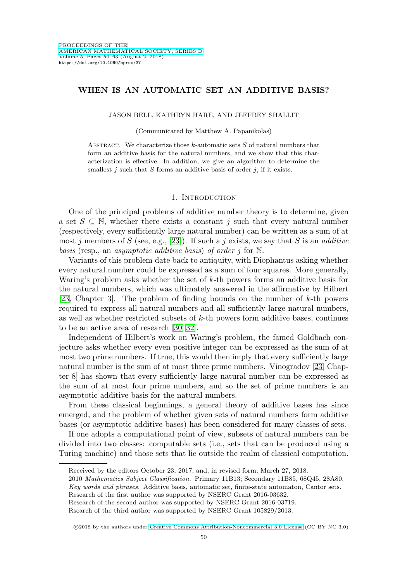# **WHEN IS AN AUTOMATIC SET AN ADDITIVE BASIS?**

### JASON BELL, KATHRYN HARE, AND JEFFREY SHALLIT

#### (Communicated by Matthew A. Papanikolas)

ABSTRACT. We characterize those k-automatic sets  $S$  of natural numbers that form an additive basis for the natural numbers, and we show that this characterization is effective. In addition, we give an algorithm to determine the smallest  $j$  such that  $S$  forms an additive basis of order  $j$ , if it exists.

#### 1. INTRODUCTION

One of the principal problems of additive number theory is to determine, given a set  $S \subseteq \mathbb{N}$ , whether there exists a constant j such that every natural number (respectively, every sufficiently large natural number) can be written as a sum of at most j members of S (see, e.g., [\[23\]](#page-13-0)). If such a j exists, we say that S is an *additive* basis (resp., an asymptotic additive basis) of order j for N.

Variants of this problem date back to antiquity, with Diophantus asking whether every natural number could be expressed as a sum of four squares. More generally, Waring's problem asks whether the set of k-th powers forms an additive basis for the natural numbers, which was ultimately answered in the affirmative by Hilbert [\[23,](#page-13-0) Chapter 3]. The problem of finding bounds on the number of k-th powers required to express all natural numbers and all sufficiently large natural numbers, as well as whether restricted subsets of  $k$ -th powers form additive bases, continues to be an active area of research [\[30](#page-13-1)[–32\]](#page-13-2).

Independent of Hilbert's work on Waring's problem, the famed Goldbach conjecture asks whether every even positive integer can be expressed as the sum of at most two prime numbers. If true, this would then imply that every sufficiently large natural number is the sum of at most three prime numbers. Vinogradov [\[23,](#page-13-0) Chapter 8] has shown that every sufficiently large natural number can be expressed as the sum of at most four prime numbers, and so the set of prime numbers is an asymptotic additive basis for the natural numbers.

From these classical beginnings, a general theory of additive bases has since emerged, and the problem of whether given sets of natural numbers form additive bases (or asymptotic additive bases) has been considered for many classes of sets.

If one adopts a computational point of view, subsets of natural numbers can be divided into two classes: computable sets (i.e., sets that can be produced using a Turing machine) and those sets that lie outside the realm of classical computation.

Received by the editors October 23, 2017, and, in revised form, March 27, 2018.

<sup>2010</sup> Mathematics Subject Classification. Primary 11B13; Secondary 11B85, 68Q45, 28A80.

Key words and phrases. Additive basis, automatic set, finite-state automaton, Cantor sets. Research of the first author was supported by NSERC Grant 2016-03632.

Research of the second author was supported by NSERC Grant 2016-03719.

Rsearch of the third author was supported by NSERC Grant 105829/2013.

<sup>©2018</sup> by the authors under [Creative Commons Attribution-Noncommercial 3.0 License](https://creativecommons.org/licenses/by-nc/3.0/) (CC BY NC 3.0)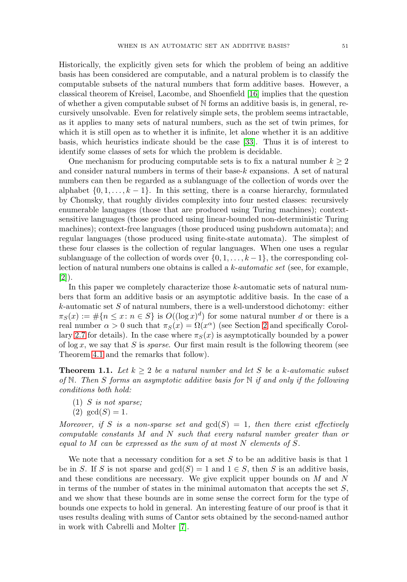Historically, the explicitly given sets for which the problem of being an additive basis has been considered are computable, and a natural problem is to classify the computable subsets of the natural numbers that form additive bases. However, a classical theorem of Kreisel, Lacombe, and Shoenfield [\[16\]](#page-12-0) implies that the question of whether a given computable subset of N forms an additive basis is, in general, recursively unsolvable. Even for relatively simple sets, the problem seems intractable, as it applies to many sets of natural numbers, such as the set of twin primes, for which it is still open as to whether it is infinite, let alone whether it is an additive basis, which heuristics indicate should be the case [\[33\]](#page-13-3). Thus it is of interest to identify some classes of sets for which the problem is decidable.

One mechanism for producing computable sets is to fix a natural number  $k \geq 2$ and consider natural numbers in terms of their base- $k$  expansions. A set of natural numbers can then be regarded as a sublanguage of the collection of words over the alphabet  $\{0, 1, \ldots, k-1\}$ . In this setting, there is a coarse hierarchy, formulated by Chomsky, that roughly divides complexity into four nested classes: recursively enumerable languages (those that are produced using Turing machines); contextsensitive languages (those produced using linear-bounded non-deterministic Turing machines); context-free languages (those produced using pushdown automata); and regular languages (those produced using finite-state automata). The simplest of these four classes is the collection of regular languages. When one uses a regular sublanguage of the collection of words over  $\{0, 1, \ldots, k-1\}$ , the corresponding collection of natural numbers one obtains is called a  $k\text{-}automatic set$  (see, for example, [\[2\]](#page-12-1)).

In this paper we completely characterize those k-automatic sets of natural numbers that form an additive basis or an asymptotic additive basis. In the case of a  $k$ -automatic set  $S$  of natural numbers, there is a well-understood dichotomy: either  $\pi_S(x) := \#\{n \leq x : n \in S\}$  is  $O((\log x)^d)$  for some natural number d or there is a real number  $\alpha > 0$  such that  $\pi_S(x) = \Omega(x^{\alpha})$  (see Section [2](#page-2-0) and specifically Corol-lary [2.7](#page-4-0) for details). In the case where  $\pi_S(x)$  is asymptotically bounded by a power of  $\log x$ , we say that S is *sparse*. Our first main result is the following theorem (see Theorem [4.1](#page-6-0) and the remarks that follow).

**Theorem 1.1.** Let  $k > 2$  be a natural number and let S be a k-automatic subset of N. Then S forms an asymptotic additive basis for N if and only if the following conditions both hold:

- <span id="page-1-0"></span> $(1)$  S is not sparse;
- (2)  $gcd(S)=1$ .

Moreover, if S is a non-sparse set and  $gcd(S)=1$ , then there exist effectively computable constants M and N such that every natural number greater than or equal to M can be expressed as the sum of at most N elements of  $S$ .

We note that a necessary condition for a set  $S$  to be an additive basis is that 1 be in S. If S is not sparse and  $gcd(S) = 1$  and  $1 \in S$ , then S is an additive basis, and these conditions are necessary. We give explicit upper bounds on M and N in terms of the number of states in the minimal automaton that accepts the set  $S$ , and we show that these bounds are in some sense the correct form for the type of bounds one expects to hold in general. An interesting feature of our proof is that it uses results dealing with sums of Cantor sets obtained by the second-named author in work with Cabrelli and Molter [\[7\]](#page-12-2).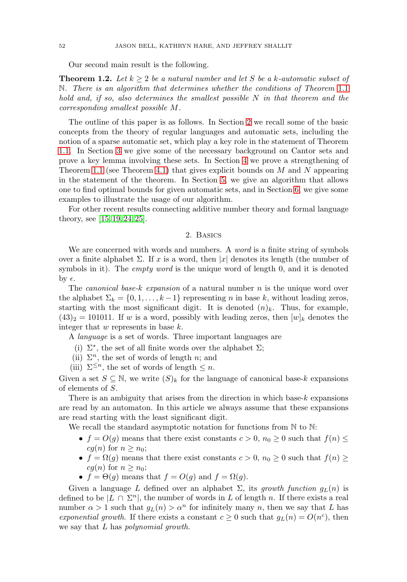Our second main result is the following.

<span id="page-2-1"></span>**Theorem 1.2.** Let  $k \geq 2$  be a natural number and let S be a k-automatic subset of N. There is an algorithm that determines whether the conditions of Theorem [1.1](#page-1-0) hold and, if so, also determines the smallest possible  $N$  in that theorem and the corresponding smallest possible M.

The outline of this paper is as follows. In Section [2](#page-2-0) we recall some of the basic concepts from the theory of regular languages and automatic sets, including the notion of a sparse automatic set, which play a key role in the statement of Theorem [1.1.](#page-1-0) In Section [3](#page-5-0) we give some of the necessary background on Cantor sets and prove a key lemma involving these sets. In Section [4](#page-6-1) we prove a strengthening of Theorem [1.1](#page-1-0) (see Theorem [4.1\)](#page-6-0) that gives explicit bounds on  $M$  and  $N$  appearing in the statement of the theorem. In Section [5,](#page-9-0) we give an algorithm that allows one to find optimal bounds for given automatic sets, and in Section [6,](#page-10-0) we give some examples to illustrate the usage of our algorithm.

<span id="page-2-0"></span>For other recent results connecting additive number theory and formal language theory, see [\[15,](#page-12-3) [19,](#page-12-4) [24,](#page-13-4) [25\]](#page-13-5).

# 2. Basics

We are concerned with words and numbers. A *word* is a finite string of symbols over a finite alphabet  $\Sigma$ . If x is a word, then |x| denotes its length (the number of symbols in it). The *empty word* is the unique word of length 0, and it is denoted by  $\epsilon$ .

The *canonical base-k expansion* of a natural number n is the unique word over the alphabet  $\Sigma_k = \{0, 1, \ldots, k-1\}$  representing n in base k, without leading zeros, starting with the most significant digit. It is denoted  $(n)_k$ . Thus, for example,  $(43)_2 = 101011$ . If w is a word, possibly with leading zeros, then  $|w|_k$  denotes the integer that  $w$  represents in base  $k$ .

A language is a set of words. Three important languages are

- (i)  $\Sigma^*$ , the set of all finite words over the alphabet  $\Sigma$ ;
- (ii)  $\Sigma^n$ , the set of words of length n; and
- (iii)  $\Sigma^{\leq n}$ , the set of words of length  $\leq n$ .

Given a set  $S \subseteq \mathbb{N}$ , we write  $(S)_k$  for the language of canonical base-k expansions of elements of S.

There is an ambiguity that arises from the direction in which base- $k$  expansions are read by an automaton. In this article we always assume that these expansions are read starting with the least significant digit.

We recall the standard asymptotic notation for functions from  $\mathbb N$  to  $\mathbb N$ :

- $f = O(g)$  means that there exist constants  $c > 0$ ,  $n_0 \geq 0$  such that  $f(n) \leq$  $cg(n)$  for  $n \geq n_0$ ;
- $f = \Omega(g)$  means that there exist constants  $c > 0$ ,  $n_0 \geq 0$  such that  $f(n) \geq$  $cg(n)$  for  $n \geq n_0$ ;
- $f = \Theta(g)$  means that  $f = O(g)$  and  $f = \Omega(g)$ .

Given a language L defined over an alphabet  $\Sigma$ , its growth function  $g_L(n)$  is defined to be  $|L \cap \Sigma^n|$ , the number of words in L of length n. If there exists a real number  $\alpha > 1$  such that  $g_L(n) > \alpha^n$  for infinitely many n, then we say that L has exponential growth. If there exists a constant  $c \geq 0$  such that  $g_L(n) = O(n^c)$ , then we say that L has *polynomial growth*.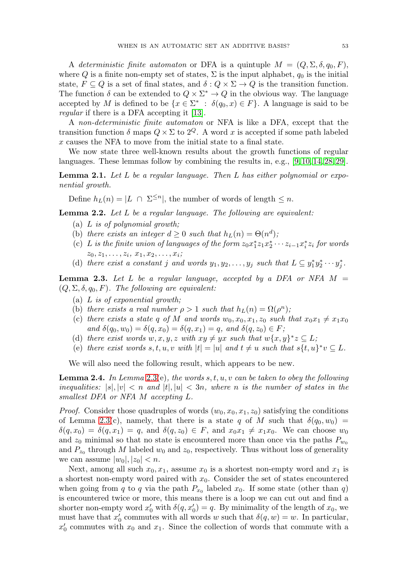A deterministic finite automaton or DFA is a quintuple  $M = (Q, \Sigma, \delta, q_0, F)$ , where Q is a finite non-empty set of states,  $\Sigma$  is the input alphabet,  $q_0$  is the initial state,  $F \subseteq Q$  is a set of final states, and  $\delta: Q \times \Sigma \to Q$  is the transition function. The function  $\delta$  can be extended to  $Q \times \Sigma^* \to Q$  in the obvious way. The language accepted by M is defined to be  $\{x \in \Sigma^* : \delta(q_0, x) \in F\}$ . A language is said to be regular if there is a DFA accepting it [\[13\]](#page-12-5).

A non-deterministic finite automaton or NFA is like a DFA, except that the transition function  $\delta$  maps  $Q \times \Sigma$  to  $2^Q$ . A word x is accepted if some path labeled x causes the NFA to move from the initial state to a final state.

We now state three well-known results about the growth functions of regular languages. These lemmas follow by combining the results in, e.g., [\[9,](#page-12-6) [10,](#page-12-7) [14,](#page-12-8) [28,](#page-13-6) [29\]](#page-13-7).

<span id="page-3-2"></span>**Lemma 2.1.** Let L be a regular language. Then L has either polynomial or exponential growth.

Define  $h_L(n) = |L \cap \Sigma^{\leq n}|$ , the number of words of length  $\leq n$ .

**Lemma 2.2.** Let L be a regular language. The following are equivalent:

- (a)  $L$  is of polynomial growth;
- (b) there exists an integer  $d \geq 0$  such that  $h_L(n) = \Theta(n^d)$ ;
- (c) L is the finite union of languages of the form  $z_0 x_1^* z_1 x_2^* \cdots z_{i-1} x_i^* z_i$  for words  $z_0, z_1, \ldots, z_i, x_1, x_2, \ldots, x_i;$
- (d) there exist a constant j and words  $y_1, y_2, \ldots, y_j$  such that  $L \subseteq y_1^* y_2^* \cdots y_j^*$ .

<span id="page-3-0"></span>**Lemma 2.3.** Let L be a regular language, accepted by a DFA or NFA  $M =$  $(Q, \Sigma, \delta, q_0, F)$ . The following are equivalent:

- (a)  $L$  is of exponential growth;
- (b) there exists a real number  $\rho > 1$  such that  $h_L(n) = \Omega(\rho^n)$ ;
- (c) there exists a state q of M and words  $w_0, x_0, x_1, z_0$  such that  $x_0x_1 \neq x_1x_0$ and  $\delta(q_0, w_0) = \delta(q, x_0) = \delta(q, x_1) = q$ , and  $\delta(q, z_0) \in F$ ;
- (d) there exist words w, x, y, z with  $xy \neq yx$  such that  $w\{x, y\}^*z \subseteq L$ ;
- (e) there exist words  $s, t, u, v$  with  $|t| = |u|$  and  $t \neq u$  such that  $s\{t, u\}^* v \subseteq L$ .

We will also need the following result, which appears to be new.

<span id="page-3-1"></span>**Lemma 2.4.** In Lemma [2.3\(](#page-3-0)e), the words s, t, u, v can be taken to obey the following inequalities:  $|s|, |v| < n$  and  $|t|, |u| < 3n$ , where n is the number of states in the smallest DFA or NFA M accepting L.

*Proof.* Consider those quadruples of words  $(w_0, x_0, x_1, z_0)$  satisfying the conditions of Lemma [2.3\(](#page-3-0)c), namely, that there is a state q of M such that  $\delta(q_0, w_0)$  =  $\delta(q, x_0) = \delta(q, x_1) = q$ , and  $\delta(q, z_0) \in F$ , and  $x_0 x_1 \neq x_1 x_0$ . We can choose  $w_0$ and  $z_0$  minimal so that no state is encountered more than once via the paths  $P_{w_0}$ and  $P_{z_0}$  through M labeled  $w_0$  and  $z_0$ , respectively. Thus without loss of generality we can assume  $|w_0|, |z_0| < n$ .

Next, among all such  $x_0, x_1$ , assume  $x_0$  is a shortest non-empty word and  $x_1$  is a shortest non-empty word paired with  $x<sub>0</sub>$ . Consider the set of states encountered when going from q to q via the path  $P_{x_0}$  labeled  $x_0$ . If some state (other than q) is encountered twice or more, this means there is a loop we can cut out and find a shorter non-empty word  $x'_0$  with  $\delta(q, x'_0) = q$ . By minimality of the length of  $x_0$ , we must have that  $x'_0$  commutes with all words w such that  $\delta(q, w) = w$ . In particular,  $x_0'$  commutes with  $x_0$  and  $x_1$ . Since the collection of words that commute with a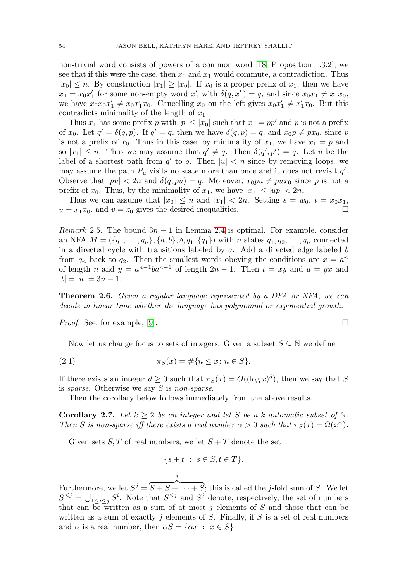non-trivial word consists of powers of a common word [\[18,](#page-12-9) Proposition 1.3.2], we see that if this were the case, then  $x_0$  and  $x_1$  would commute, a contradiction. Thus  $|x_0| \leq n$ . By construction  $|x_1| \geq |x_0|$ . If  $x_0$  is a proper prefix of  $x_1$ , then we have  $x_1 = x_0 x_1'$  for some non-empty word  $x_1'$  with  $\delta(q, x_1') = q$ , and since  $x_0 x_1 \neq x_1 x_0$ , we have  $x_0x_0x_1' \neq x_0x_1'x_0$ . Cancelling  $x_0$  on the left gives  $x_0x_1' \neq x_1'x_0$ . But this contradicts minimality of the length of  $x_1$ .

Thus  $x_1$  has some prefix p with  $|p| \leq |x_0|$  such that  $x_1 = pp'$  and p is not a prefix of  $x_0$ . Let  $q' = \delta(q, p)$ . If  $q' = q$ , then we have  $\delta(q, p) = q$ , and  $x_0 p \neq px_0$ , since p is not a prefix of  $x_0$ . Thus in this case, by minimality of  $x_1$ , we have  $x_1 = p$  and so  $|x_1| \leq n$ . Thus we may assume that  $q' \neq q$ . Then  $\delta(q', p') = q$ . Let u be the label of a shortest path from  $q'$  to q. Then  $|u| < n$  since by removing loops, we may assume the path  $P_u$  visits no state more than once and it does not revisit  $q'$ . Observe that  $|pu| < 2n$  and  $\delta(q, pu) = q$ . Moreover,  $x_0pu \neq pux_0$  since p is not a prefix of  $x_0$ . Thus, by the minimality of  $x_1$ , we have  $|x_1| \le |up| < 2n$ .

Thus we can assume that  $|x_0| \leq n$  and  $|x_1| < 2n$ . Setting  $s = w_0, t = x_0x_1$ ,  $u = x_1x_0$ , and  $v = z_0$  gives the desired inequalities.

*Remark* 2.5. The bound  $3n - 1$  in Lemma [2.4](#page-3-1) is optimal. For example, consider an NFA  $M = (\{q_1, \ldots, q_n\}, \{a, b\}, \delta, q_1, \{q_1\})$  with n states  $q_1, q_2, \ldots, q_n$  connected in a directed cycle with transitions labeled by  $a$ . Add a directed edge labeled  $b$ from  $q_n$  back to  $q_2$ . Then the smallest words obeying the conditions are  $x = a^n$ of length n and  $y = a^{n-1}ba^{n-1}$  of length  $2n - 1$ . Then  $t = xy$  and  $u = yx$  and  $|t| = |u| = 3n - 1.$ 

**Theorem 2.6.** Given a regular language represented by a DFA or NFA, we can decide in linear time whether the language has polynomial or exponential growth.

Proof. See, for example, [\[9\]](#page-12-6).

Now let us change focus to sets of integers. Given a subset  $S \subseteq \mathbb{N}$  we define

(2.1) 
$$
\pi_S(x) = \#\{n \le x \colon n \in S\}.
$$

If there exists an integer  $d \geq 0$  such that  $\pi_S(x) = O((\log x)^d)$ , then we say that S is sparse. Otherwise we say S is non-sparse.

Then the corollary below follows immediately from the above results.

<span id="page-4-0"></span>**Corollary 2.7.** Let  $k \geq 2$  be an integer and let S be a k-automatic subset of N. Then S is non-sparse iff there exists a real number  $\alpha > 0$  such that  $\pi_S(x) = \Omega(x^{\alpha})$ .

Given sets  $S, T$  of real numbers, we let  $S + T$  denote the set

j

$$
\{s+t \; : \; s \in S, t \in T\}.
$$

Furthermore, we let  $S^j =$  $S + S + \cdots + S$ ; this is called the j-fold sum of S. We let  $S^{\leq j} = \bigcup_{1 \leq i \leq j} S^i$ . Note that  $S^{\leq j}$  and  $S^j$  denote, respectively, the set of numbers that can be written as a sum of at most  $j$  elements of  $S$  and those that can be written as a sum of exactly j elements of S. Finally, if S is a set of real numbers and  $\alpha$  is a real number, then  $\alpha S = \{ \alpha x : x \in S \}.$ 

$$
\sqcap
$$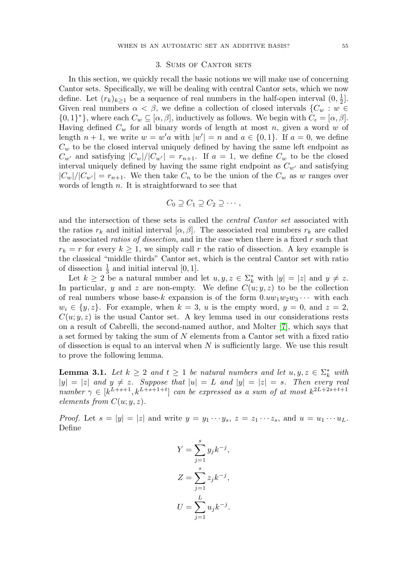### 3. Sums of Cantor sets

<span id="page-5-0"></span>In this section, we quickly recall the basic notions we will make use of concerning Cantor sets. Specifically, we will be dealing with central Cantor sets, which we now define. Let  $(r_k)_{k\geq 1}$  be a sequence of real numbers in the half-open interval  $(0, \frac{1}{2}]$ . Given real numbers  $\alpha < \beta$ , we define a collection of closed intervals  $\{C_w : w \in$  $\{0,1\}^*\}$ , where each  $C_w \subseteq [\alpha,\beta]$ , inductively as follows. We begin with  $C_{\epsilon} = [\alpha,\beta]$ . Having defined  $C_w$  for all binary words of length at most n, given a word w of length  $n + 1$ , we write  $w = w'a$  with  $|w'| = n$  and  $a \in \{0, 1\}$ . If  $a = 0$ , we define  $C_w$  to be the closed interval uniquely defined by having the same left endpoint as  $C_{w'}$  and satisfying  $|C_w|/|C_{w'}| = r_{n+1}$ . If  $a = 1$ , we define  $C_w$  to be the closed interval uniquely defined by having the same right endpoint as  $C_{w'}$  and satisfying  $|C_w|/|C_{w'}| = r_{n+1}$ . We then take  $C_n$  to be the union of the  $C_w$  as w ranges over words of length  $n$ . It is straightforward to see that

$$
C_0 \supseteq C_1 \supseteq C_2 \supseteq \cdots,
$$

and the intersection of these sets is called the central Cantor set associated with the ratios  $r_k$  and initial interval  $[\alpha, \beta]$ . The associated real numbers  $r_k$  are called the associated *ratios of dissection*, and in the case when there is a fixed  $r$  such that  $r_k = r$  for every  $k \geq 1$ , we simply call r the ratio of dissection. A key example is the classical "middle thirds" Cantor set, which is the central Cantor set with ratio of dissection  $\frac{1}{3}$  and initial interval [0, 1].

Let  $k \geq 2$  be a natural number and let  $u, y, z \in \Sigma_k^*$  with  $|y| = |z|$  and  $y \neq z$ . In particular, y and z are non-empty. We define  $C(u; y, z)$  to be the collection of real numbers whose base-k expansion is of the form  $0.uw_1w_2w_3\cdots$  with each  $w_i \in \{y, z\}$ . For example, when  $k = 3$ , u is the empty word,  $y = 0$ , and  $z = 2$ ,  $C(u; y, z)$  is the usual Cantor set. A key lemma used in our considerations rests on a result of Cabrelli, the second-named author, and Molter [\[7\]](#page-12-2), which says that a set formed by taking the sum of  $N$  elements from a Cantor set with a fixed ratio of dissection is equal to an interval when  $N$  is sufficiently large. We use this result to prove the following lemma.

<span id="page-5-1"></span>**Lemma 3.1.** Let  $k \geq 2$  and  $t \geq 1$  be natural numbers and let  $u, y, z \in \Sigma_k^*$  with  $|y| = |z|$  and  $y \neq z$ . Suppose that  $|u| = L$  and  $|y| = |z| = s$ . Then every real number  $\gamma \in [k^{L+s+1}, k^{L+s+1+t}]$  can be expressed as a sum of at most  $k^{2L+2s+t+1}$ elements from  $C(u; y, z)$ .

*Proof.* Let  $s = |y| = |z|$  and write  $y = y_1 \cdots y_s$ ,  $z = z_1 \cdots z_s$ , and  $u = u_1 \cdots u_L$ . Define

$$
Y = \sum_{j=1}^{s} y_j k^{-j},
$$
  
\n
$$
Z = \sum_{j=1}^{s} z_j k^{-j},
$$
  
\n
$$
U = \sum_{j=1}^{L} u_j k^{-j}.
$$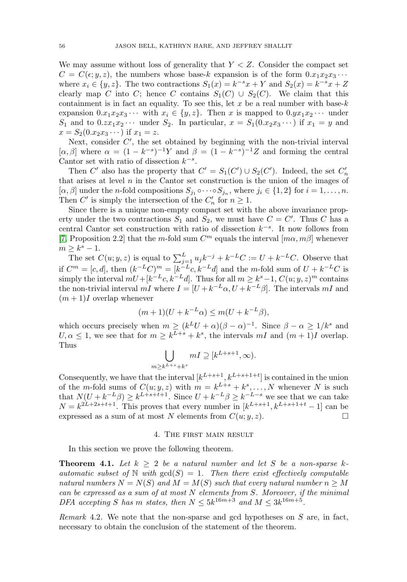We may assume without loss of generality that  $Y < Z$ . Consider the compact set  $C = C(\epsilon; y, z)$ , the numbers whose base-k expansion is of the form  $0.x_1x_2x_3 \cdots$ where  $x_i \in \{y, z\}$ . The two contractions  $S_1(x) = k^{-s}x + Y$  and  $S_2(x) = k^{-s}x + Z$ clearly map C into C; hence C contains  $S_1(C) \cup S_2(C)$ . We claim that this containment is in fact an equality. To see this, let x be a real number with base- $k$ expansion  $0.x_1x_2x_3 \cdots$  with  $x_i \in \{y, z\}$ . Then x is mapped to  $0.yx_1x_2 \cdots$  under  $S_1$  and to  $0.zx_1x_2 \cdots$  under  $S_2$ . In particular,  $x = S_1(0.x_2x_3 \cdots)$  if  $x_1 = y$  and  $x = S_2(0.x_2x_3\cdots)$  if  $x_1 = z$ .

Next, consider  $C'$ , the set obtained by beginning with the non-trivial interval  $[\alpha, \beta]$  where  $\alpha = (1 - k^{-s})^{-1}Y$  and  $\beta = (1 - k^{-s})^{-1}Z$  and forming the central Cantor set with ratio of dissection  $k^{-s}$ .

Then C' also has the property that  $C' = S_1(C') \cup S_2(C')$ . Indeed, the set  $C'_n$ that arises at level  $n$  in the Cantor set construction is the union of the images of  $[\alpha, \beta]$  under the *n*-fold compositions  $S_{j_1} \circ \cdots \circ S_{j_n}$ , where  $j_i \in \{1,2\}$  for  $i = 1,\ldots,n$ . Then  $C'$  is simply the intersection of the  $C'_n$  for  $n \geq 1$ .

Since there is a unique non-empty compact set with the above invariance property under the two contractions  $S_1$  and  $S_2$ , we must have  $C = C'$ . Thus C has a central Cantor set construction with ratio of dissection  $k^{-s}$ . It now follows from [\[7,](#page-12-2) Proposition 2.2] that the m-fold sum  $C^m$  equals the interval  $[m\alpha, m\beta]$  whenever  $m \geq k^s - 1$ .

The set  $C(u; y, z)$  is equal to  $\sum_{j=1}^{L} u_j k^{-j} + k^{-L}C := U + k^{-L}C$ . Observe that if  $C^m = [c, d]$ , then  $(k^{-L}C)^m = [k^{-L}c, k^{-L}d]$  and the m-fold sum of  $U + k^{-L}C$  is simply the interval  $mU+[k^{-L}c, k^{-L}d]$ . Thus for all  $m \geq k^s-1$ ,  $C(u; y, z)^m$  contains the non-trivial interval  $mI$  where  $I = [U + k^{-L}\alpha, U + k^{-L}\beta]$ . The intervals  $mI$  and  $(m+1)I$  overlap whenever

$$
(m+1)(U + k^{-L}\alpha) \le m(U + k^{-L}\beta),
$$

which occurs precisely when  $m \ge (k^L U + \alpha)(\beta - \alpha)^{-1}$ . Since  $\beta - \alpha \ge 1/k^s$  and  $U, \alpha \leq 1$ , we see that for  $m \geq k^{L+s} + k^s$ , the intervals  $mI$  and  $(m+1)I$  overlap. Thus

$$
\bigcup_{m\geq k^{L+s}+k^s} mI \supseteq [k^{L+s+1},\infty).
$$

Consequently, we have that the interval  $[k^{L+s+1}, k^{L+s+1+t}]$  is contained in the union of the m-fold sums of  $C(u; y, z)$  with  $m = k^{L+s} + k^s, \ldots, N$  whenever N is such that  $N(U + k^{-L}\beta) \geq k^{L+s+t+1}$ . Since  $U + k^{-L}\beta \geq k^{-L-s}$  we see that we can take  $N = k^{2L+2s+t+1}$ . This proves that every number in  $[k^{L+s+1}, k^{L+s+1+t} - 1]$  can be expressed as a sum of at most N elements from  $C(u; y, z)$ .  $\Box$ 

### 4. The first main result

<span id="page-6-1"></span>In this section we prove the following theorem.

<span id="page-6-0"></span>**Theorem 4.1.** Let  $k \geq 2$  be a natural number and let S be a non-sparse kautomatic subset of N with  $gcd(S)=1$ . Then there exist effectively computable natural numbers  $N = N(S)$  and  $M = M(S)$  such that every natural number  $n \geq M$ can be expressed as a sum of at most N elements from S. Moreover, if the minimal DFA accepting S has m states, then  $N \leq 5k^{16m+3}$  and  $M \leq 3k^{16m+5}$ .

<span id="page-6-2"></span>Remark 4.2. We note that the non-sparse and gcd hypotheses on S are, in fact, necessary to obtain the conclusion of the statement of the theorem.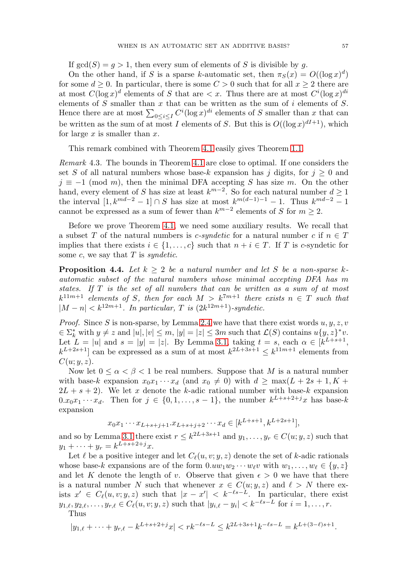If  $gcd(S) = q > 1$ , then every sum of elements of S is divisible by q.

On the other hand, if S is a sparse k-automatic set, then  $\pi_S(x) = O((\log x)^d)$ for some  $d \geq 0$ . In particular, there is some  $C > 0$  such that for all  $x \geq 2$  there are at most  $C(\log x)^d$  elements of S that are  $\lt x$ . Thus there are at most  $C^i(\log x)^{di}$ elements of  $S$  smaller than  $x$  that can be written as the sum of  $i$  elements of  $S$ . Hence there are at most  $\sum_{0 \leq i \leq I} C^i (\log x)^{di}$  elements of S smaller than x that can be written as the sum of at most I elements of S. But this is  $O((\log x)^{dI+1})$ , which for large  $x$  is smaller than  $x$ .

This remark combined with Theorem [4.1](#page-6-0) easily gives Theorem [1.1.](#page-1-0)

Remark 4.3. The bounds in Theorem [4.1](#page-6-0) are close to optimal. If one considers the set S of all natural numbers whose base-k expansion has j digits, for  $j \geq 0$  and  $j \equiv -1 \pmod{m}$ , then the minimal DFA accepting S has size m. On the other hand, every element of S has size at least  $k^{m-2}$ . So for each natural number  $d \ge 1$ the interval  $[1, k^{md-2} - 1] \cap S$  has size at most  $k^{m(d-1)-1} - 1$ . Thus  $k^{md-2} - 1$ cannot be expressed as a sum of fewer than  $k^{m-2}$  elements of S for  $m \geq 2$ .

Before we prove Theorem [4.1,](#page-6-0) we need some auxiliary results. We recall that a subset T of the natural numbers is *c*-syndetic for a natural number c if  $n \in T$ implies that there exists  $i \in \{1, \ldots, c\}$  such that  $n + i \in T$ . If T is c-syndetic for some  $c$ , we say that  $T$  is *syndetic*.

<span id="page-7-0"></span>**Proposition 4.4.** Let  $k \geq 2$  be a natural number and let S be a non-sparse kautomatic subset of the natural numbers whose minimal accepting DFA has m states. If T is the set of all numbers that can be written as a sum of at most  $k^{11m+1}$  elements of S, then for each  $M>k^{7m+1}$  there exists  $n \in T$  such that  $|M - n| < k^{12m+1}$ . In particular, T is  $(2k^{12m+1})$ -syndetic.

*Proof.* Since S is non-sparse, by Lemma [2.4](#page-3-1) we have that there exist words  $u, y, z, v$  $\mathcal{E} \in \Sigma_k^*$  with  $y \neq z$  and  $|u|, |v| \leq m$ ,  $|y| = |z| \leq 3m$  such that  $\mathcal{L}(S)$  contains  $u\{y, z\}^*v$ . Let  $L = |u|$  and  $s = |y| = |z|$ . By Lemma [3.1,](#page-5-1) taking  $t = s$ , each  $\alpha \in [k^{L+s+1}]$ ,  $k^{L+2s+1}$  can be expressed as a sum of at most  $k^{2L+3s+1} \leq k^{11m+1}$  elements from  $C(u; y, z)$ .

Now let  $0 \le \alpha < \beta < 1$  be real numbers. Suppose that M is a natural number with base-k expansion  $x_0x_1 \cdots x_d$  (and  $x_0 \neq 0$ ) with  $d \ge \max(L + 2s + 1, K +$  $2L + s + 2$ . We let x denote the k-adic rational number with base-k expansion  $0.x_0x_1 \cdots x_d$ . Then for  $j \in \{0,1,\ldots,s-1\}$ , the number  $k^{L+s+2+j}x$  has base-k expansion

$$
x_0 x_1 \cdots x_{L+s+j+1} \cdot x_{L+s+j+2} \cdots x_d \in [k^{L+s+1}, k^{L+2s+1}],
$$

and so by Lemma [3.1](#page-5-1) there exist  $r \leq k^{2L+3s+1}$  and  $y_1, \ldots, y_r \in C(u; y, z)$  such that  $y_1 + \cdots + y_r = k^{L+s+2+j}x.$ 

Let  $\ell$  be a positive integer and let  $C_{\ell}(u, v; y, z)$  denote the set of k-adic rationals whose base-k expansions are of the form  $0.uw_1w_2\cdots w_\ell v$  with  $w_1,\ldots,w_\ell\in\{y,z\}$ and let K denote the length of v. Observe that given  $\epsilon > 0$  we have that there is a natural number N such that whenever  $x \in C(u; y, z)$  and  $\ell > N$  there exists  $x' \in C_{\ell}(u, v; y, z)$  such that  $|x - x'| < k^{-\ell s - L}$ . In particular, there exist  $y_{1,\ell}, y_{2,\ell}, \ldots, y_{r,\ell} \in C_{\ell}(u, v; y, z)$  such that  $|y_{i,\ell} - y_i| < k^{-\ell s - L}$  for  $i = 1, \ldots, r$ .

Thus

$$
|y_{1,\ell} + \dots + y_{r,\ell} - k^{L+s+2+j}x| < rk^{-\ell s - L} \le k^{2L+3s+1}k^{-\ell s - L} = k^{L+(3-\ell)s+1}.
$$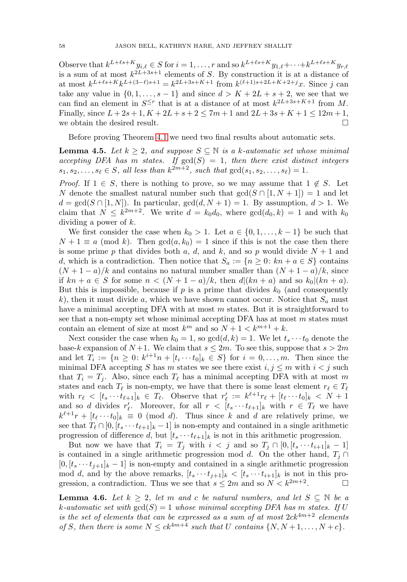Observe that  $k^{L+\ell s+K}y_{i,\ell} \in S$  for  $i = 1, \ldots, r$  and so  $k^{L+\ell s+K}y_{1,\ell} + \cdots + k^{L+\ell s+K}y_{r,\ell}$ is a sum of at most  $k^{2L+3s+1}$  elements of S. By construction it is at a distance of at most  $k^{L+\ell s+K}k^{L+(3-\ell)s+1} = k^{2L+3s+K+1}$  from  $k^{(\ell+1)s+2L+K+2+j}x$ . Since j can take any value in  $\{0, 1, \ldots, s-1\}$  and since  $d > K + 2L + s + 2$ , we see that we can find an element in  $S^{\leq r}$  that is at a distance of at most  $k^{2L+3s+K+1}$  from M. Finally, since  $L + 2s + 1$ ,  $K + 2L + s + 2 < 7m + 1$  and  $2L + 3s + K + 1 < 12m + 1$ , we obtain the desired result.  $\Box$ 

Before proving Theorem [4.1](#page-6-0) we need two final results about automatic sets.

<span id="page-8-0"></span>**Lemma 4.5.** Let  $k \geq 2$ , and suppose  $S \subseteq \mathbb{N}$  is a k-automatic set whose minimal accepting DFA has m states. If  $gcd(S)=1$ , then there exist distinct integers  $s_1, s_2,..., s_\ell \in S$ , all less than  $k^{2m+2}$ , such that  $gcd(s_1, s_2,..., s_\ell) = 1$ .

*Proof.* If  $1 \in S$ , there is nothing to prove, so we may assume that  $1 \notin S$ . Let N denote the smallest natural number such that  $gcd(S \cap [1, N + 1]) = 1$  and let  $d = \gcd(S \cap [1, N])$ . In particular,  $\gcd(d, N + 1) = 1$ . By assumption,  $d > 1$ . We claim that  $N \leq k^{2m+2}$ . We write  $d = k_0 d_0$ , where  $gcd(d_0, k) = 1$  and with  $k_0$ dividing a power of  $k$ .

We first consider the case when  $k_0 > 1$ . Let  $a \in \{0, 1, \ldots, k-1\}$  be such that  $N + 1 \equiv a \pmod{k}$ . Then  $gcd(a, k_0) = 1$  since if this is not the case then there is some prime p that divides both a, d, and k, and so p would divide  $N+1$  and d, which is a contradiction. Then notice that  $S_a := \{n \geq 0: kn + a \in S\}$  contains  $(N+1-a)/k$  and contains no natural number smaller than  $(N+1-a)/k$ , since if  $kn + a \in S$  for some  $n < (N + 1 - a)/k$ , then  $d|(kn + a)$  and so  $k_0|(kn + a)$ . But this is impossible, because if p is a prime that divides  $k_0$  (and consequently k), then it must divide a, which we have shown cannot occur. Notice that  $S_a$  must have a minimal accepting DFA with at most  $m$  states. But it is straightforward to see that a non-empty set whose minimal accepting DFA has at most m states must contain an element of size at most  $k^m$  and so  $N + 1 < k^{m+1} + k$ .

Next consider the case when  $k_0 = 1$ , so  $gcd(d, k) = 1$ . We let  $t_s \cdots t_0$  denote the base-k expansion of  $N+1$ . We claim that  $s \leq 2m$ . To see this, suppose that  $s > 2m$ and let  $T_i := \{n \geq 0: k^{i+1}n + [t_i \cdots t_0]_k \in S\}$  for  $i = 0, \ldots, m$ . Then since the minimal DFA accepting S has m states we see there exist  $i, j \leq m$  with  $i < j$  such that  $T_i = T_j$ . Also, since each  $T_\ell$  has a minimal accepting DFA with at most m states and each  $T_{\ell}$  is non-empty, we have that there is some least element  $r_{\ell} \in T_{\ell}$ with  $r_{\ell} < [t_s \cdots t_{\ell+1}]_k \in T_{\ell}$ . Observe that  $r'_{\ell} := k^{\ell+1} r_{\ell} + [t_{\ell} \cdots t_0]_k < N + 1$ and so d divides  $r'_\ell$ . Moreover, for all  $r \leq [t_s \cdots t_{\ell+1}]_k$  with  $r \in T_\ell$  we have  $k^{\ell+1}r + [t_{\ell} \cdots t_0]_k \equiv 0 \pmod{d}$ . Thus since k and d are relatively prime, we see that  $T_{\ell} \cap [0, [t_s \cdots t_{\ell+1}]_k - 1]$  is non-empty and contained in a single arithmetic progression of difference d, but  $[t_s \cdots t_{\ell+1}]_k$  is not in this arithmetic progression.

But now we have that  $T_i = T_j$  with  $i < j$  and so  $T_j \cap [0, [t_s \cdots t_{i+1}]_k - 1]$ is contained in a single arithmetic progression mod d. On the other hand,  $T_i \cap$  $[0, [t_s \cdots t_{i+1}]_k - 1]$  is non-empty and contained in a single arithmetic progression mod d, and by the above remarks,  $[t_s \cdots t_{i+1}]_k < [t_s \cdots t_{i+1}]_k$  is not in this progression, a contradiction. Thus we see that  $s \leq 2m$  and so  $N < k^{2m+2}$ .  $\Box$ 

<span id="page-8-1"></span>**Lemma 4.6.** Let  $k \geq 2$ , let m and c be natural numbers, and let  $S \subseteq \mathbb{N}$  be a k-automatic set with  $gcd(S)=1$  whose minimal accepting DFA has m states. If U is the set of elements that can be expressed as a sum of at most  $2ck^{4m+2}$  elements of S, then there is some  $N \leq ck^{4m+4}$  such that U contains  $\{N, N+1, \ldots, N+c\}$ .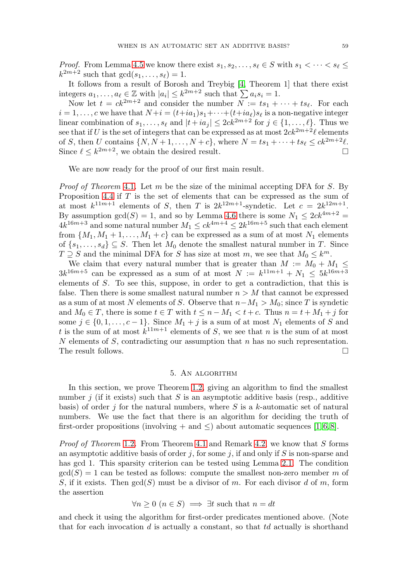*Proof.* From Lemma [4.5](#page-8-0) we know there exist  $s_1, s_2, \ldots, s_\ell \in S$  with  $s_1 < \cdots < s_\ell \leq$  $k^{2m+2}$  such that  $gcd(s_1,\ldots,s_\ell)=1$ .

It follows from a result of Borosh and Treybig [\[4,](#page-12-10) Theorem 1] that there exist integers  $a_1, \ldots, a_\ell \in \mathbb{Z}$  with  $|a_i| \leq k^{2m+2}$  such that  $\sum a_i s_i = 1$ .

Now let  $t = ck^{2m+2}$  and consider the number  $N := ts_1 + \cdots + ts_\ell$ . For each  $i = 1, \ldots, c$  we have that  $N+i = (t+ia_1)s_1 + \cdots + (t+ia_\ell)s_\ell$  is a non-negative integer linear combination of  $s_1, \ldots, s_\ell$  and  $|t + ia_j| \leq 2ck^{2m+2}$  for  $j \in \{1, \ldots, \ell\}$ . Thus we see that if U is the set of integers that can be expressed as at most  $2ck^{2m+2}\ell$  elements of S, then U contains  $\{N, N+1, \ldots, N+c\}$ , where  $N = ts_1 + \cdots + ts_\ell \leq ck^{2m+2}\ell$ . Since  $\ell \leq k^{2m+2}$ , we obtain the desired result.  $\Box$ 

We are now ready for the proof of our first main result.

*Proof of Theorem [4.1](#page-6-0).* Let m be the size of the minimal accepting DFA for  $S$ . By Proposition [4.4](#page-7-0) if  $T$  is the set of elements that can be expressed as the sum of at most  $k^{11m+1}$  elements of S, then T is  $2k^{12m+1}$ -syndetic. Let  $c = 2k^{12m+1}$ . By assumption  $gcd(S) = 1$ , and so by Lemma [4.6](#page-8-1) there is some  $N_1 \leq 2ck^{4m+2} =$  $4k^{16m+3}$  and some natural number  $M_1 \leq c k^{4m+4} \leq 2k^{16m+5}$  such that each element from  $\{M_1, M_1 + 1, \ldots, M_1 + c\}$  can be expressed as a sum of at most  $N_1$  elements of  $\{s_1,\ldots,s_d\} \subseteq S$ . Then let  $M_0$  denote the smallest natural number in T. Since  $T \supseteq S$  and the minimal DFA for S has size at most m, we see that  $M_0 \leq k^m$ .

We claim that every natural number that is greater than  $M := M_0 + M_1 \leq$  $3k^{16m+5}$  can be expressed as a sum of at most  $N := k^{11m+1} + N_1 \leq 5k^{16m+3}$ elements of S. To see this, suppose, in order to get a contradiction, that this is false. Then there is some smallest natural number  $n > M$  that cannot be expressed as a sum of at most N elements of S. Observe that  $n-M_1 > M_0$ ; since T is syndetic and  $M_0 \in T$ , there is some  $t \in T$  with  $t \leq n - M_1 < t + c$ . Thus  $n = t + M_1 + j$  for some  $j \in \{0, 1, \ldots, c-1\}$ . Since  $M_1 + j$  is a sum of at most  $N_1$  elements of S and t is the sum of at most  $k^{11m+1}$  elements of S, we see that n is the sum of at most N elements of S, contradicting our assumption that  $n$  has no such representation. The result follows.

## 5. An algorithm

<span id="page-9-0"></span>In this section, we prove Theorem [1.2,](#page-2-1) giving an algorithm to find the smallest number j (if it exists) such that S is an asymptotic additive basis (resp., additive basis) of order j for the natural numbers, where  $S$  is a k-automatic set of natural numbers. We use the fact that there is an algorithm for deciding the truth of first-order propositions (involving + and  $\leq$ ) about automatic sequences [\[1,](#page-12-11) [6,](#page-12-12) [8\]](#page-12-13).

Proof of Theorem [1.2](#page-2-1). From Theorem [4.1](#page-6-0) and Remark [4.2,](#page-6-2) we know that S forms an asymptotic additive basis of order j, for some j, if and only if S is non-sparse and has gcd 1. This sparsity criterion can be tested using Lemma [2.1.](#page-3-2) The condition  $gcd(S) = 1$  can be tested as follows: compute the smallest non-zero member m of S, if it exists. Then  $gcd(S)$  must be a divisor of m. For each divisor d of m, form the assertion

$$
\forall n \ge 0 \ (n \in S) \implies \exists t \text{ such that } n = dt
$$

and check it using the algorithm for first-order predicates mentioned above. (Note that for each invocation  $d$  is actually a constant, so that  $td$  actually is shorthand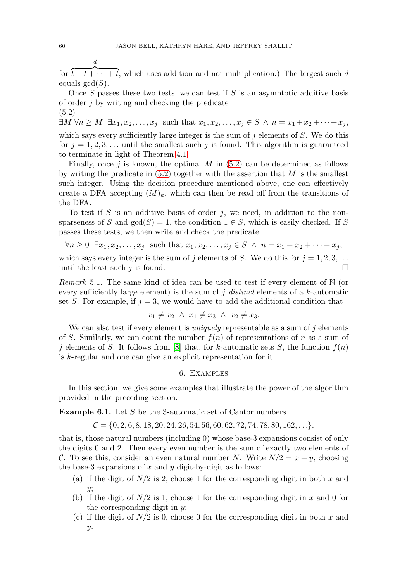for  $\overline{t+t+\cdots+t}$ , which uses addition and not multiplication.) The largest such d equals  $gcd(S)$ .

Once  $S$  passes these two tests, we can test if  $S$  is an asymptotic additive basis of order  $j$  by writing and checking the predicate (5.2)

<span id="page-10-1"></span> $\exists M \forall n \geq M \; \exists x_1, x_2, \ldots, x_j \; \text{such that} \; x_1, x_2, \ldots, x_j \in S \; \wedge \; n = x_1 + x_2 + \cdots + x_j,$ which says every sufficiently large integer is the sum of  $j$  elements of  $S$ . We do this for  $j = 1, 2, 3, \ldots$  until the smallest such j is found. This algorithm is guaranteed to terminate in light of Theorem [4.1.](#page-6-0)

Finally, once  $j$  is known, the optimal M in [\(5.2\)](#page-10-1) can be determined as follows by writing the predicate in  $(5.2)$  together with the assertion that M is the smallest such integer. Using the decision procedure mentioned above, one can effectively create a DFA accepting  $(M)_k$ , which can then be read off from the transitions of the DFA.

To test if S is an additive basis of order  $j$ , we need, in addition to the nonsparseness of S and  $gcd(S) = 1$ , the condition  $1 \in S$ , which is easily checked. If S passes these tests, we then write and check the predicate

$$
\forall n \geq 0 \quad \exists x_1, x_2, \dots, x_j \quad \text{such that} \quad x_1, x_2, \dots, x_j \in S \quad \land \quad n = x_1 + x_2 + \dots + x_j,
$$

which says every integer is the sum of j elements of S. We do this for  $j = 1, 2, 3, \ldots$ until the least such  $j$  is found.  $\Box$ 

Remark 5.1. The same kind of idea can be used to test if every element of N (or every sufficiently large element) is the sum of j distinct elements of a  $k$ -automatic set S. For example, if  $j = 3$ , we would have to add the additional condition that

$$
x_1 \neq x_2 \ \land \ x_1 \neq x_3 \ \land \ x_2 \neq x_3.
$$

We can also test if every element is *uniquely* representable as a sum of  $j$  elements of S. Similarly, we can count the number  $f(n)$  of representations of n as a sum of j elements of S. It follows from [\[8\]](#page-12-13) that, for k-automatic sets S, the function  $f(n)$ is k-regular and one can give an explicit representation for it.

#### 6. Examples

<span id="page-10-0"></span>In this section, we give some examples that illustrate the power of the algorithm provided in the preceding section.

**Example 6.1.** Let S be the 3-automatic set of Cantor numbers

 $C = \{0, 2, 6, 8, 18, 20, 24, 26, 54, 56, 60, 62, 72, 74, 78, 80, 162, \ldots\},\$ 

that is, those natural numbers (including 0) whose base-3 expansions consist of only the digits 0 and 2. Then every even number is the sum of exactly two elements of C. To see this, consider an even natural number N. Write  $N/2 = x + y$ , choosing the base-3 expansions of  $x$  and  $y$  digit-by-digit as follows:

- (a) if the digit of  $N/2$  is 2, choose 1 for the corresponding digit in both x and  $\overline{u}$ :
- (b) if the digit of  $N/2$  is 1, choose 1 for the corresponding digit in x and 0 for the corresponding digit in y;
- (c) if the digit of  $N/2$  is 0, choose 0 for the corresponding digit in both x and y.

d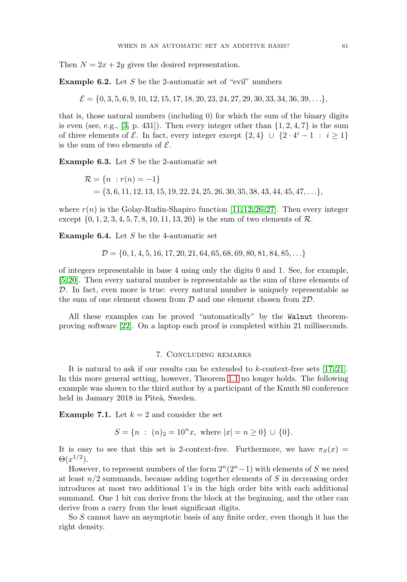Then  $N = 2x + 2y$  gives the desired representation.

**Example 6.2.** Let S be the 2-automatic set of "evil" numbers

 $\mathcal{E} = \{0, 3, 5, 6, 9, 10, 12, 15, 17, 18, 20, 23, 24, 27, 29, 30, 33, 34, 36, 39, \ldots\},\$ 

that is, those natural numbers (including 0) for which the sum of the binary digits is even (see, e.g., [\[3,](#page-12-14) p. 431]). Then every integer other than  $\{1, 2, 4, 7\}$  is the sum of three elements of  $\mathcal E$ . In fact, every integer except  $\{2,4\} \cup \{2 \cdot 4^i - 1 : i \geq 1\}$ is the sum of two elements of  $\mathcal{E}$ .

**Example 6.3.** Let S be the 2-automatic set

$$
\mathcal{R} = \{n : r(n) = -1\}
$$
  
= {3, 6, 11, 12, 13, 15, 19, 22, 24, 25, 26, 30, 35, 38, 43, 44, 45, 47, ...},

where  $r(n)$  is the Golay-Rudin-Shapiro function [\[11,](#page-12-15) [12,](#page-12-16) [26,](#page-13-8) [27\]](#page-13-9). Then every integer except  $\{0, 1, 2, 3, 4, 5, 7, 8, 10, 11, 13, 20\}$  is the sum of two elements of  $\mathcal{R}$ .

**Example 6.4.** Let S be the 4-automatic set

$$
\mathcal{D} = \{0, 1, 4, 5, 16, 17, 20, 21, 64, 65, 68, 69, 80, 81, 84, 85, \ldots\}
$$

of integers representable in base 4 using only the digits 0 and 1. See, for example, [\[5,](#page-12-17) [20\]](#page-12-18). Then every natural number is representable as the sum of three elements of D. In fact, even more is true: every natural number is uniquely representable as the sum of one element chosen from  $D$  and one element chosen from  $2D$ .

All these examples can be proved "automatically" by the Walnut theoremproving software [\[22\]](#page-12-19). On a laptop each proof is completed within 21 milliseconds.

#### 7. Concluding remarks

It is natural to ask if our results can be extended to  $k$ -context-free sets [\[17,](#page-12-20) [21\]](#page-12-21). In this more general setting, however, Theorem [1.1](#page-1-0) no longer holds. The following example was shown to the third author by a participant of the Knuth 80 conference held in January 2018 in Piteå, Sweden.

**Example 7.1.** Let  $k = 2$  and consider the set

 $S = \{n : (n)_2 = 10^n x, \text{ where } |x| = n > 0\} \cup \{0\}.$ 

It is easy to see that this set is 2-context-free. Furthermore, we have  $\pi_S(x)$  =  $\Theta(x^{1/2})$ .

However, to represent numbers of the form  $2^{n}(2^{n}-1)$  with elements of S we need at least  $n/2$  summands, because adding together elements of S in decreasing order introduces at most two additional 1's in the high order bits with each additional summand. One 1 bit can derive from the block at the beginning, and the other can derive from a carry from the least significant digits.

So S cannot have an asymptotic basis of any finite order, even though it has the right density.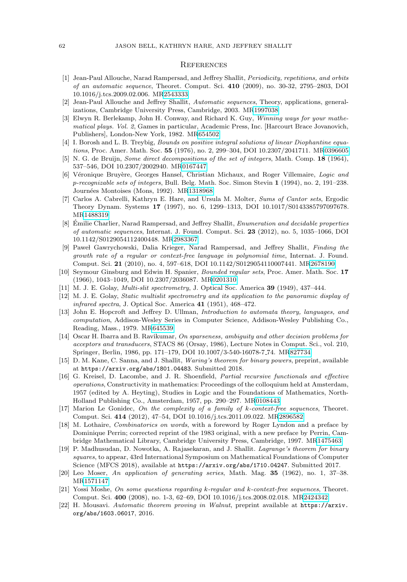#### **REFERENCES**

- <span id="page-12-11"></span>[1] Jean-Paul Allouche, Narad Rampersad, and Jeffrey Shallit, Periodicity, repetitions, and orbits of an automatic sequence, Theoret. Comput. Sci. **410** (2009), no. 30-32, 2795–2803, DOI 10.1016/j.tcs.2009.02.006. M[R2543333](https://www.ams.org/mathscinet-getitem?mr=2543333)
- <span id="page-12-1"></span>[2] Jean-Paul Allouche and Jeffrey Shallit, Automatic sequences, Theory, applications, generalizations, Cambridge University Press, Cambridge, 2003. M[R1997038](https://www.ams.org/mathscinet-getitem?mr=1997038)
- <span id="page-12-14"></span>[3] Elwyn R. Berlekamp, John H. Conway, and Richard K. Guy, Winning ways for your mathematical plays. Vol. 2, Games in particular, Academic Press, Inc. [Harcourt Brace Jovanovich, Publishers], London-New York, 1982. M[R654502](https://www.ams.org/mathscinet-getitem?mr=654502)
- <span id="page-12-10"></span>[4] I. Borosh and L. B. Treybig, Bounds on positive integral solutions of linear Diophantine equations, Proc. Amer. Math. Soc. **55** (1976), no. 2, 299–304, DOI 10.2307/2041711. M[R0396605](https://www.ams.org/mathscinet-getitem?mr=0396605)
- <span id="page-12-17"></span>[5] N. G. de Bruijn, Some direct decompositions of the set of integers, Math. Comp. **18** (1964), 537–546, DOI 10.2307/2002940. M[R0167447](https://www.ams.org/mathscinet-getitem?mr=0167447)
- <span id="page-12-12"></span>[6] Véronique Bruyère, Georges Hansel, Christian Michaux, and Roger Villemaire, Logic and p-recognizable sets of integers, Bull. Belg. Math. Soc. Simon Stevin **1** (1994), no. 2, 191–238. Journées Montoises (Mons, 1992). M[R1318968](https://www.ams.org/mathscinet-getitem?mr=1318968)
- <span id="page-12-2"></span>[7] Carlos A. Cabrelli, Kathryn E. Hare, and Ursula M. Molter, Sums of Cantor sets, Ergodic Theory Dynam. Systems **17** (1997), no. 6, 1299–1313, DOI 10.1017/S0143385797097678. M[R1488319](https://www.ams.org/mathscinet-getitem?mr=1488319)
- <span id="page-12-13"></span>[8] Émilie Charlier, Narad Rampersad, and Jeffrey Shallit, *Enumeration and decidable properties* of automatic sequences, Internat. J. Found. Comput. Sci. **23** (2012), no. 5, 1035–1066, DOI 10.1142/S0129054112400448. M[R2983367](https://www.ams.org/mathscinet-getitem?mr=2983367)
- <span id="page-12-6"></span>[9] Pawel Gawrychowski, Dalia Krieger, Narad Rampersad, and Jeffrey Shallit, Finding the growth rate of a regular or context-free language in polynomial time, Internat. J. Found. Comput. Sci. **21** (2010), no. 4, 597–618, DOI 10.1142/S0129054110007441. M[R2678190](https://www.ams.org/mathscinet-getitem?mr=2678190)
- <span id="page-12-7"></span>[10] Seymour Ginsburg and Edwin H. Spanier, Bounded regular sets, Proc. Amer. Math. Soc. **17** (1966), 1043–1049, DOI 10.2307/2036087. M[R0201310](https://www.ams.org/mathscinet-getitem?mr=0201310)
- <span id="page-12-15"></span>[11] M. J. E. Golay, Multi-slit spectrometry, J. Optical Soc. America **39** (1949), 437–444.
- <span id="page-12-16"></span>[12] M. J. E. Golay, Static multislit spectrometry and its application to the panoramic display of infrared spectra, J. Optical Soc. America **41** (1951), 468–472.
- <span id="page-12-5"></span>[13] John E. Hopcroft and Jeffrey D. Ullman, Introduction to automata theory, languages, and computation, Addison-Wesley Series in Computer Science, Addison-Wesley Publishing Co., Reading, Mass., 1979. M[R645539](https://www.ams.org/mathscinet-getitem?mr=645539)
- <span id="page-12-8"></span>[14] Oscar H. Ibarra and B. Ravikumar, On sparseness, ambiguity and other decision problems for acceptors and transducers, STACS 86 (Orsay, 1986), Lecture Notes in Comput. Sci., vol. 210, Springer, Berlin, 1986, pp. 171–179, DOI 10.1007/3-540-16078-7 74. M[R827734](https://www.ams.org/mathscinet-getitem?mr=827734)
- <span id="page-12-3"></span>[15] D. M. Kane, C. Sanna, and J. Shallit, Waring's theorem for binary powers, preprint, available at <https://arxiv.org/abs/1801.04483>. Submitted 2018.
- <span id="page-12-0"></span>[16] G. Kreisel, D. Lacombe, and J. R. Shoenfield, Partial recursive functionals and effective operations, Constructivity in mathematics: Proceedings of the colloquium held at Amsterdam, 1957 (edited by A. Heyting), Studies in Logic and the Foundations of Mathematics, North-Holland Publishing Co., Amsterdam, 1957, pp. 290–297. M[R0108443](https://www.ams.org/mathscinet-getitem?mr=0108443)
- <span id="page-12-20"></span>[17] Marion Le Gonidec, On the complexity of a family of k-context-free sequences, Theoret. Comput. Sci. **414** (2012), 47–54, DOI 10.1016/j.tcs.2011.09.022. M[R2896582](https://www.ams.org/mathscinet-getitem?mr=2896582)
- <span id="page-12-9"></span>[18] M. Lothaire, Combinatorics on words, with a foreword by Roger Lyndon and a preface by Dominique Perrin; corrected reprint of the 1983 original, with a new preface by Perrin, Cambridge Mathematical Library, Cambridge University Press, Cambridge, 1997. M[R1475463](https://www.ams.org/mathscinet-getitem?mr=1475463)
- <span id="page-12-4"></span>[19] P. Madhusudan, D. Nowotka, A. Rajasekaran, and J. Shallit. Lagrange's theorem for binary squares, to appear, 43rd International Symposium on Mathematical Foundations of Computer Science (MFCS 2018), available at <https://arxiv.org/abs/1710.04247>. Submitted 2017.
- <span id="page-12-18"></span>[20] Leo Moser, An application of generating series, Math. Mag. **35** (1962), no. 1, 37–38. M[R1571147](https://www.ams.org/mathscinet-getitem?mr=1571147)
- <span id="page-12-21"></span>[21] Yossi Moshe, On some questions regarding k-regular and k-context-free sequences, Theoret. Comput. Sci. **400** (2008), no. 1-3, 62–69, DOI 10.1016/j.tcs.2008.02.018. M[R2424342](https://www.ams.org/mathscinet-getitem?mr=2424342)
- <span id="page-12-19"></span>[22] H. Mousavi. Automatic theorem proving in Walnut, preprint available at [https://arxiv.](https://arxiv.org/abs/1603.06017) [org/abs/1603.06017](https://arxiv.org/abs/1603.06017), 2016.